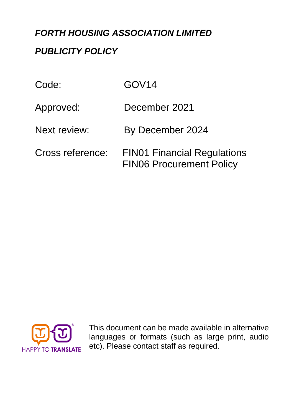## *FORTH HOUSING ASSOCIATION LIMITED*

## *PUBLICITY POLICY*

| Code:               | GOV <sub>14</sub>                                                     |
|---------------------|-----------------------------------------------------------------------|
| Approved:           | December 2021                                                         |
| <b>Next review:</b> | By December 2024                                                      |
| Cross reference:    | <b>FIN01 Financial Regulations</b><br><b>FIN06 Procurement Policy</b> |



This document can be made available in alternative languages or formats (such as large print, audio etc). Please contact staff as required.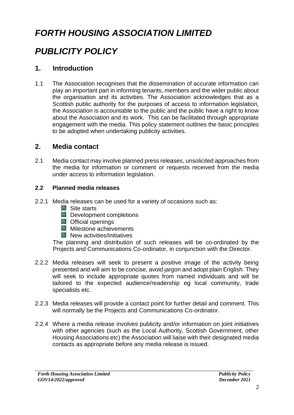# *FORTH HOUSING ASSOCIATION LIMITED*

# *PUBLICITY POLICY*

## **1. Introduction**

1.1 The Association recognises that the dissemination of accurate information can play an important part in informing tenants, members and the wider public about the organisation and its activities. The Association acknowledges that as a Scottish public authority for the purposes of access to information legislation, the Association is accountable to the public and the public have a right to know about the Association and its work. This can be facilitated through appropriate engagement with the media. This policy statement outlines the basic principles to be adopted when undertaking publicity activities.

## **2. Media contact**

2.1 Media contact may involve planned press releases, unsolicited approaches from the media for information or comment or requests received from the media under access to information legislation.

#### **2.2 Planned media releases**

- 2.2.1 Media releases can be used for a variety of occasions such as:
	- **Site starts**
	- $\mathbb{R}$  Development completions
	- **Cofficial openings**
	- **Milestone achievements**
	- $\mathbb{R}$  New activities/initiatives

The planning and distribution of such releases will be co-ordinated by the Projects and Communications Co-ordinator, in conjunction with the Director.

- 2.2.2 Media releases will seek to present a positive image of the activity being presented and will aim to be concise, avoid jargon and adopt plain English. They will seek to include appropriate quotes from named individuals and will be tailored to the expected audience/readership eg local community, trade specialists etc.
- 2.2.3 Media releases will provide a contact point for further detail and comment. This will normally be the Projects and Communications Co-ordinator.
- 2.2.4 Where a media release involves publicity and/or information on joint initiatives with other agencies (such as the Local Authority, Scottish Government, other Housing Associations etc) the Association will liaise with their designated media contacts as appropriate before any media release is issued.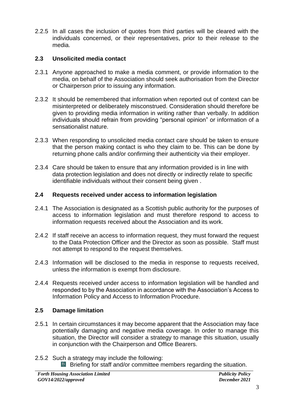2.2.5 In all cases the inclusion of quotes from third parties will be cleared with the individuals concerned, or their representatives, prior to their release to the media.

#### **2.3 Unsolicited media contact**

- 2.3.1 Anyone approached to make a media comment, or provide information to the media, on behalf of the Association should seek authorisation from the Director or Chairperson prior to issuing any information.
- 2.3.2 It should be remembered that information when reported out of context can be misinterpreted or deliberately misconstrued. Consideration should therefore be given to providing media information in writing rather than verbally. In addition individuals should refrain from providing "personal opinion" or information of a sensationalist nature.
- 2.3.3 When responding to unsolicited media contact care should be taken to ensure that the person making contact is who they claim to be. This can be done by returning phone calls and/or confirming their authenticity via their employer.
- 2.3.4 Care should be taken to ensure that any information provided is in line with data protection legislation and does not directly or indirectly relate to specific identifiable individuals without their consent being given .

#### **2.4 Requests received under access to information legislation**

- 2.4.1 The Association is designated as a Scottish public authority for the purposes of access to information legislation and must therefore respond to access to information requests received about the Association and its work.
- 2.4.2 If staff receive an access to information request, they must forward the request to the Data Protection Officer and the Director as soon as possible. Staff must not attempt to respond to the request themselves.
- 2.4.3 Information will be disclosed to the media in response to requests received, unless the information is exempt from disclosure.
- 2.4.4 Requests received under access to information legislation will be handled and responded to by the Association in accordance with the Association's Access to Information Policy and Access to Information Procedure.

#### **2.5 Damage limitation**

- 2.5.1 In certain circumstances it may become apparent that the Association may face potentially damaging and negative media coverage. In order to manage this situation, the Director will consider a strategy to manage this situation, usually in conjunction with the Chairperson and Office Bearers.
- 2.5.2 Such a strategy may include the following:
	- **Briefing for staff and/or committee members regarding the situation.**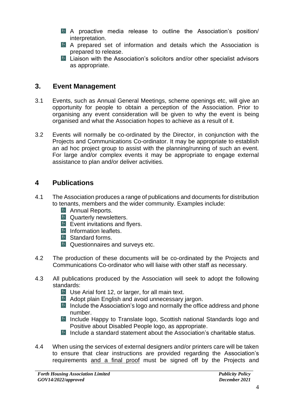- A proactive media release to outline the Association's position/ interpretation.
- A prepared set of information and details which the Association is prepared to release.
- **Liaison with the Association's solicitors and/or other specialist advisors** as appropriate.

## **3. Event Management**

- 3.1 Events, such as Annual General Meetings, scheme openings etc, will give an opportunity for people to obtain a perception of the Association. Prior to organising any event consideration will be given to why the event is being organised and what the Association hopes to achieve as a result of it.
- 3.2 Events will normally be co-ordinated by the Director, in conjunction with the Projects and Communications Co-ordinator. It may be appropriate to establish an ad hoc project group to assist with the planning/running of such an event. For large and/or complex events it may be appropriate to engage external assistance to plan and/or deliver activities.

## **4 Publications**

- 4.1 The Association produces a range of publications and documents for distribution to tenants, members and the wider community. Examples include:
	- **Annual Reports.**
	- **Ex** Quarterly newsletters.
	- $\mathbb{R}$  Event invitations and flyers.
	- **Information leaflets.**
	- $\mathbb{R}$  Standard forms.
	- **A** Questionnaires and surveys etc.
- 4.2 The production of these documents will be co-ordinated by the Projects and Communications Co-ordinator who will liaise with other staff as necessary.
- 4.3 All publications produced by the Association will seek to adopt the following standards:
	- **Use Arial font 12, or larger, for all main text.**
	- **Adopt plain English and avoid unnecessary jargon.**
	- $\blacksquare$  Include the Association's logo and normally the office address and phone number.
	- Include Happy to Translate logo, Scottish national Standards logo and Positive about Disabled People logo, as appropriate.
	- Include a standard statement about the Association's charitable status.
- 4.4 When using the services of external designers and/or printers care will be taken to ensure that clear instructions are provided regarding the Association's requirements and a final proof must be signed off by the Projects and